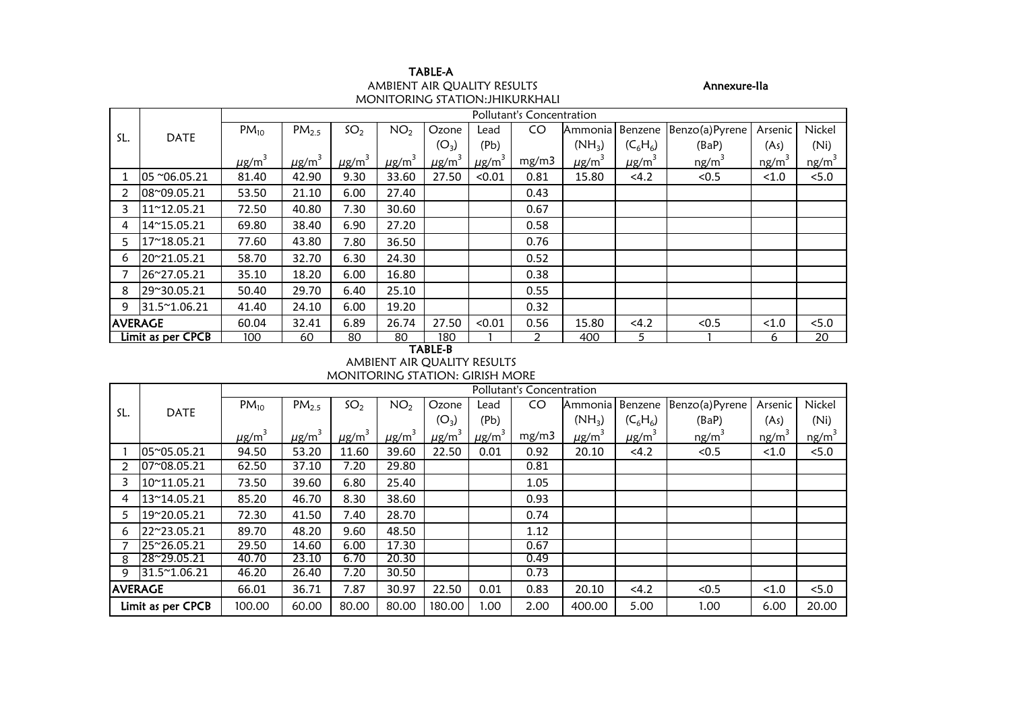| TABLE-A                                |
|----------------------------------------|
| AMBIENT AIR OUALITY RESULTS            |
| <b>MONITORING STATION: JHIKURKHALI</b> |

# Annexure-IIa

|                |                   | Pollutant's Concentration |                        |                        |                        |                        |                        |       |                        |                        |                   |          |          |  |
|----------------|-------------------|---------------------------|------------------------|------------------------|------------------------|------------------------|------------------------|-------|------------------------|------------------------|-------------------|----------|----------|--|
|                |                   | $PM_{10}$                 | $PM_{2.5}$             | SO <sub>2</sub>        | NO <sub>2</sub>        | Ozone                  | Lead                   | CO.   | Ammonia                | Benzene                | Benzo(a)Pyrene    | Arsenic  | Nickel   |  |
| SL.            | <b>DATE</b>       |                           |                        |                        |                        | $(O_3)$                | (Pb)                   |       | $(NH_3)$               | $(C_6H_6)$             | (BaP)             | (As)     | (Ni)     |  |
|                |                   | $\mu$ g/m <sup>3</sup>    | $\mu$ g/m <sup>3</sup> | $\mu$ g/m <sup>3</sup> | $\mu$ g/m <sup>3</sup> | $\mu$ g/m <sup>3</sup> | $\mu$ g/m <sup>3</sup> | mg/m3 | $\mu$ g/m <sup>3</sup> | $\mu$ g/m <sup>3</sup> | ng/m <sup>3</sup> | $ng/m^3$ | $ng/m^3$ |  |
|                | 05 ~06.05.21      | 81.40                     | 42.90                  | 9.30                   | 33.60                  | 27.50                  | < 0.01                 | 0.81  | 15.80                  | < 4.2                  | < 0.5             | < 1.0    | < 5.0    |  |
|                | 08~09.05.21       | 53.50                     | 21.10                  | 6.00                   | 27.40                  |                        |                        | 0.43  |                        |                        |                   |          |          |  |
| 3              | 11~12.05.21       | 72.50                     | 40.80                  | 7.30                   | 30.60                  |                        |                        | 0.67  |                        |                        |                   |          |          |  |
| 4              | 14~15.05.21       | 69.80                     | 38.40                  | 6.90                   | 27.20                  |                        |                        | 0.58  |                        |                        |                   |          |          |  |
| 5.             | 17~18.05.21       | 77.60                     | 43.80                  | 7.80                   | 36.50                  |                        |                        | 0.76  |                        |                        |                   |          |          |  |
| 6              | 20~21.05.21       | 58.70                     | 32.70                  | 6.30                   | 24.30                  |                        |                        | 0.52  |                        |                        |                   |          |          |  |
|                | 26~27.05.21       | 35.10                     | 18.20                  | 6.00                   | 16.80                  |                        |                        | 0.38  |                        |                        |                   |          |          |  |
| 8              | 29~30.05.21       | 50.40                     | 29.70                  | 6.40                   | 25.10                  |                        |                        | 0.55  |                        |                        |                   |          |          |  |
| 9              | 31.5~1.06.21      | 41.40                     | 24.10                  | 6.00                   | 19.20                  |                        |                        | 0.32  |                        |                        |                   |          |          |  |
| <b>AVERAGE</b> |                   | 60.04                     | 32.41                  | 6.89                   | 26.74                  | 27.50                  | < 0.01                 | 0.56  | 15.80                  | < 4.2                  | < 0.5             | < 1.0    | < 5.0    |  |
|                | Limit as per CPCB | 100                       | 60                     | 80                     | 80                     | 180<br>$\tau$ , ni r n |                        |       | 400                    | 5                      |                   | 6        | 20       |  |

#### TABLE-B AMBIENT AIR QUALITY RESULTS

MONITORING STATION: GIRISH MORE

|                |                   |                        | Pollutant's Concentration |                 |                        |                        |                        |       |                        |                        |                   |                   |          |  |  |
|----------------|-------------------|------------------------|---------------------------|-----------------|------------------------|------------------------|------------------------|-------|------------------------|------------------------|-------------------|-------------------|----------|--|--|
| SL.            |                   | $PM_{10}$              | PM <sub>2.5</sub>         | SO <sub>2</sub> | NO <sub>2</sub>        | Ozone                  | Lead                   | CO    | <b>Ammonia</b>         | Benzene                | Benzo(a)Pyrene    | Arsenic           | Nickel   |  |  |
|                | <b>DATE</b>       |                        |                           |                 |                        | $(O_3)$                | (Pb)                   |       | $(NH_3)$               | $(C_6H_6)$             | (BaP)             | (As)              | (Ni)     |  |  |
|                |                   | $\mu$ g/m <sup>3</sup> | $\mu$ g/m <sup>3</sup>    | $\mu$ g/m $^3$  | $\mu$ g/m <sup>3</sup> | $\mu$ g/m <sup>3</sup> | $\mu$ g/m <sup>3</sup> | mg/m3 | $\mu$ g/m <sup>3</sup> | $\mu$ g/m <sup>3</sup> | ng/m <sup>3</sup> | ng/m <sup>3</sup> | $ng/m^3$ |  |  |
|                | 05~05.05.21       | 94.50                  | 53.20                     | 11.60           | 39.60                  | 22.50                  | 0.01                   | 0.92  | 20.10                  | < 4.2                  | < 0.5             | < 1.0             | 5.0      |  |  |
|                | 07~08.05.21       | 62.50                  | 37.10                     | 7.20            | 29.80                  |                        |                        | 0.81  |                        |                        |                   |                   |          |  |  |
|                | 10~11.05.21       | 73.50                  | 39.60                     | 6.80            | 25.40                  |                        |                        | 1.05  |                        |                        |                   |                   |          |  |  |
| 4              | 13~14.05.21       | 85.20                  | 46.70                     | 8.30            | 38.60                  |                        |                        | 0.93  |                        |                        |                   |                   |          |  |  |
|                | 19~20.05.21       | 72.30                  | 41.50                     | 7.40            | 28.70                  |                        |                        | 0.74  |                        |                        |                   |                   |          |  |  |
| 6              | 22~23.05.21       | 89.70                  | 48.20                     | 9.60            | 48.50                  |                        |                        | 1.12  |                        |                        |                   |                   |          |  |  |
|                | 25~26.05.21       | 29.50                  | 14.60                     | 6.00            | 17.30                  |                        |                        | 0.67  |                        |                        |                   |                   |          |  |  |
| 8              | 28~29.05.21       | 40.70                  | 23.10                     | 6.70            | 20.30                  |                        |                        | 0.49  |                        |                        |                   |                   |          |  |  |
| 9              | 31.5~1.06.21      | 46.20                  | 26.40                     | 7.20            | 30.50                  |                        |                        | 0.73  |                        |                        |                   |                   |          |  |  |
| <b>AVERAGE</b> |                   | 66.01                  | 36.71                     | 7.87            | 30.97                  | 22.50                  | 0.01                   | 0.83  | 20.10                  | <4.2                   | < 0.5             | < 1.0             | 5.0      |  |  |
|                | Limit as per CPCB | 100.00                 | 60.00                     | 80.00           | 80.00                  | 180.00                 | 1.00                   | 2.00  | 400.00                 | 5.00                   | 1.00              | 6.00              | 20.00    |  |  |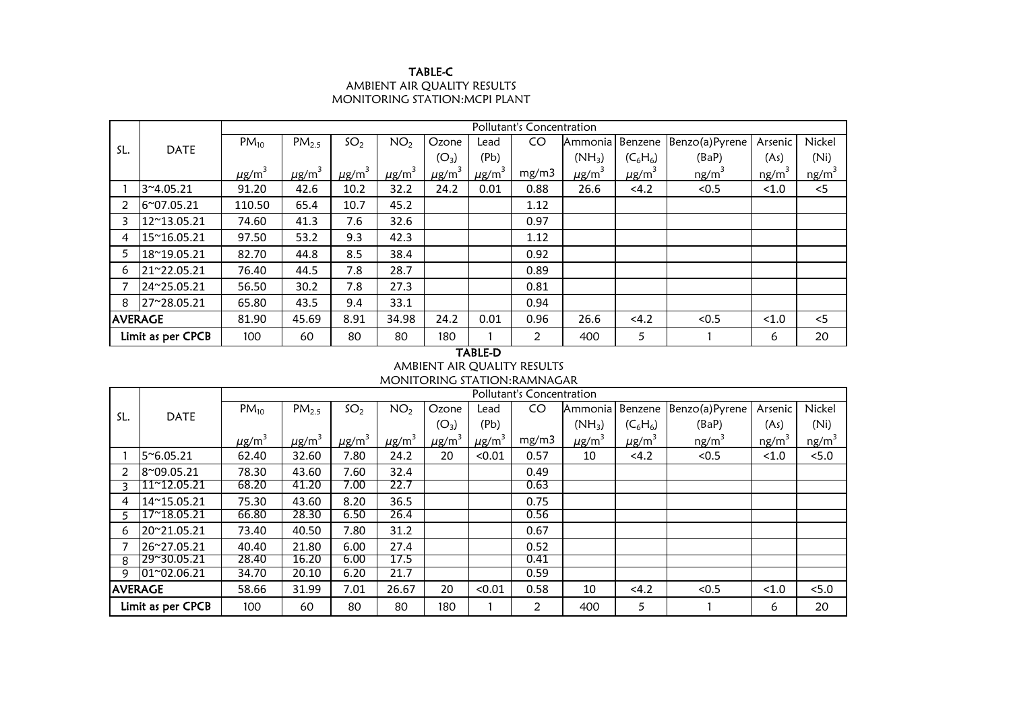## TABLE-C AMBIENT AIR QUALITY RESULTS MONITORING STATION:MCPI PLANT

|                |                   |                        | Pollutant's Concentration |                        |                        |                        |                        |       |                        |                        |                   |                   |          |  |  |
|----------------|-------------------|------------------------|---------------------------|------------------------|------------------------|------------------------|------------------------|-------|------------------------|------------------------|-------------------|-------------------|----------|--|--|
| SL.            |                   | $PM_{10}$              | PM <sub>2.5</sub>         | SO <sub>2</sub>        | NO <sub>2</sub>        | Ozone                  | Lead                   | CO    | Ammonia I              | Benzene                | Benzo(a)Pyrene    | Arsenic           | Nickel   |  |  |
|                | <b>DATE</b>       |                        |                           |                        |                        | $(O_3)$                | (Pb)                   |       | $(NH_3)$               | $(C_6H_6)$             | (BaP)             | (As)              | (Ni)     |  |  |
|                |                   | $\mu$ g/m <sup>3</sup> | $\mu$ g/m <sup>3</sup>    | $\mu$ g/m <sup>3</sup> | $\mu$ g/m <sup>3</sup> | $\mu$ g/m <sup>3</sup> | $\mu$ g/m <sup>3</sup> | mg/m3 | $\mu$ g/m <sup>3</sup> | $\mu$ g/m <sup>3</sup> | ng/m <sup>3</sup> | ng/m <sup>3</sup> | $ng/m^3$ |  |  |
|                | 3~4.05.21         | 91.20                  | 42.6                      | 10.2                   | 32.2                   | 24.2                   | 0.01                   | 0.88  | 26.6                   | < 4.2                  | < 0.5             | < 1.0             | < 5      |  |  |
|                | 6~07.05.21        | 110.50                 | 65.4                      | 10.7                   | 45.2                   |                        |                        | 1.12  |                        |                        |                   |                   |          |  |  |
|                | 12~13.05.21       | 74.60                  | 41.3                      | 7.6                    | 32.6                   |                        |                        | 0.97  |                        |                        |                   |                   |          |  |  |
| 4              | 15~16.05.21       | 97.50                  | 53.2                      | 9.3                    | 42.3                   |                        |                        | 1.12  |                        |                        |                   |                   |          |  |  |
| 5              | 18~19.05.21       | 82.70                  | 44.8                      | 8.5                    | 38.4                   |                        |                        | 0.92  |                        |                        |                   |                   |          |  |  |
| 6              | 21~22.05.21       | 76.40                  | 44.5                      | 7.8                    | 28.7                   |                        |                        | 0.89  |                        |                        |                   |                   |          |  |  |
|                | 24~25.05.21       | 56.50                  | 30.2                      | 7.8                    | 27.3                   |                        |                        | 0.81  |                        |                        |                   |                   |          |  |  |
| 8              | 27~28.05.21       | 65.80                  | 43.5                      | 9.4                    | 33.1                   |                        |                        | 0.94  |                        |                        |                   |                   |          |  |  |
| <b>AVERAGE</b> |                   | 81.90                  | 45.69                     | 8.91                   | 34.98                  | 24.2                   | 0.01                   | 0.96  | 26.6                   | <4.2                   | < 0.5             | < 1.0             | < 5      |  |  |
|                | Limit as per CPCB | 100                    | 60                        | 80                     | 80                     | 180                    |                        | 2     | 400                    | 5                      |                   | 6                 | 20       |  |  |

# TABLE-D

### AMBIENT AIR QUALITY RESULTS MONITORING STATION:RAMNAGAR

|                |                   |                        | Pollutant's Concentration |                        |                        |                         |                        |       |                        |                        |                |         |          |  |  |
|----------------|-------------------|------------------------|---------------------------|------------------------|------------------------|-------------------------|------------------------|-------|------------------------|------------------------|----------------|---------|----------|--|--|
|                |                   | $PM_{10}$              | PM <sub>2.5</sub>         | SO <sub>2</sub>        | NO <sub>2</sub>        | Ozone                   | Lead                   | CO    | Ammonia                | Benzene                | Benzo(a)Pyrene | Arsenic | Nickel   |  |  |
| SL.            | <b>DATE</b>       |                        |                           |                        |                        | $(O_3)$                 | (P <sub>b</sub> )      |       | $(NH_3)$               | $(C_6H_6)$             | (BaP)          | (As)    | (Ni)     |  |  |
|                |                   | $\mu$ g/m <sup>3</sup> | $\mu$ g/m <sup>3</sup>    | $\mu$ g/m <sup>3</sup> | $\mu$ g/m <sup>3</sup> | $\mu$ g/m <sup>-1</sup> | $\mu$ g/m <sup>3</sup> | mg/m3 | $\mu$ g/m <sup>3</sup> | $\mu$ g/m <sup>3</sup> | $ng/m^3$       | ng/m    | $ng/m^3$ |  |  |
|                | 5~6.05.21         | 62.40                  | 32.60                     | 7.80                   | 24.2                   | 20                      | < 0.01                 | 0.57  | 10                     | < 4.2                  | < 0.5          | < 1.0   | 5.0      |  |  |
|                | 8~09.05.21        | 78.30                  | 43.60                     | 7.60                   | 32.4                   |                         |                        | 0.49  |                        |                        |                |         |          |  |  |
|                | 11~12.05.21       | 68.20                  | 41.20                     | 7.00                   | 22.7                   |                         |                        | 0.63  |                        |                        |                |         |          |  |  |
| 4              | 14~15.05.21       | 75.30                  | 43.60                     | 8.20                   | 36.5                   |                         |                        | 0.75  |                        |                        |                |         |          |  |  |
|                | 17~18.05.21       | 66.80                  | 28.30                     | 6.50                   | 26.4                   |                         |                        | 0.56  |                        |                        |                |         |          |  |  |
| 6              | 20~21.05.21       | 73.40                  | 40.50                     | 7.80                   | 31.2                   |                         |                        | 0.67  |                        |                        |                |         |          |  |  |
|                | 26~27.05.21       | 40.40                  | 21.80                     | 6.00                   | 27.4                   |                         |                        | 0.52  |                        |                        |                |         |          |  |  |
| 8              | 29~30.05.21       | 28.40                  | 16.20                     | 6.00                   | 17.5                   |                         |                        | 0.41  |                        |                        |                |         |          |  |  |
| q              | 01~02.06.21       | 34.70                  | 20.10                     | 6.20                   | 21.7                   |                         |                        | 0.59  |                        |                        |                |         |          |  |  |
| <b>AVERAGE</b> |                   | 58.66                  | 31.99                     | 7.01                   | 26.67                  | 20                      | < 0.01                 | 0.58  | 10                     | < 4.2                  | < 0.5          | < 1.0   | < 5.0    |  |  |
|                | Limit as per CPCB | 100                    | 60                        | 80                     | 80                     | 180                     |                        | 2     | 400                    | 5                      |                | 6       | 20       |  |  |